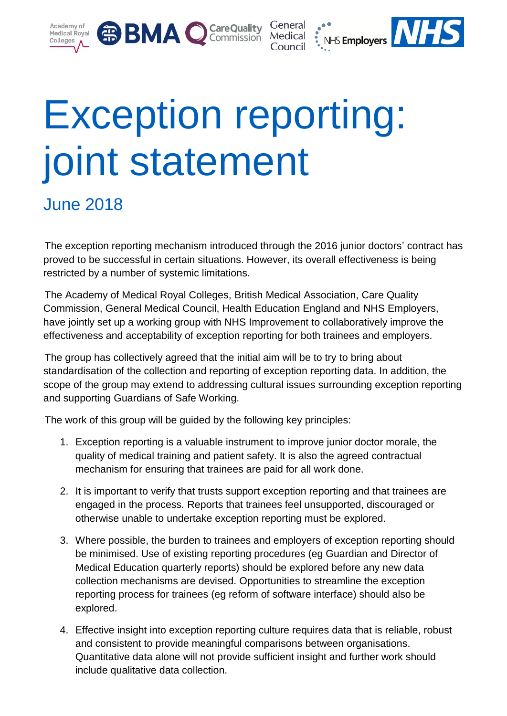





## Exception reporting: joint statement

June 2018

The exception reporting mechanism introduced through the 2016 junior doctors' contract has proved to be successful in certain situations. However, its overall effectiveness is being restricted by a number of systemic limitations.

The Academy of Medical Royal Colleges, British Medical Association, Care Quality Commission, General Medical Council, Health Education England and NHS Employers, have jointly set up a working group with NHS Improvement to collaboratively improve the effectiveness and acceptability of exception reporting for both trainees and employers.

The group has collectively agreed that the initial aim will be to try to bring about standardisation of the collection and reporting of exception reporting data. In addition, the scope of the group may extend to addressing cultural issues surrounding exception reporting and supporting Guardians of Safe Working.

The work of this group will be guided by the following key principles:

- 1. Exception reporting is a valuable instrument to improve junior doctor morale, the quality of medical training and patient safety. It is also the agreed contractual mechanism for ensuring that trainees are paid for all work done.
- 2. It is important to verify that trusts support exception reporting and that trainees are engaged in the process. Reports that trainees feel unsupported, discouraged or otherwise unable to undertake exception reporting must be explored.
- 3. Where possible, the burden to trainees and employers of exception reporting should be minimised. Use of existing reporting procedures (eg Guardian and Director of Medical Education quarterly reports) should be explored before any new data collection mechanisms are devised. Opportunities to streamline the exception reporting process for trainees (eg reform of software interface) should also be explored.
- 4. Effective insight into exception reporting culture requires data that is reliable, robust and consistent to provide meaningful comparisons between organisations. Quantitative data alone will not provide sufficient insight and further work should include qualitative data collection.